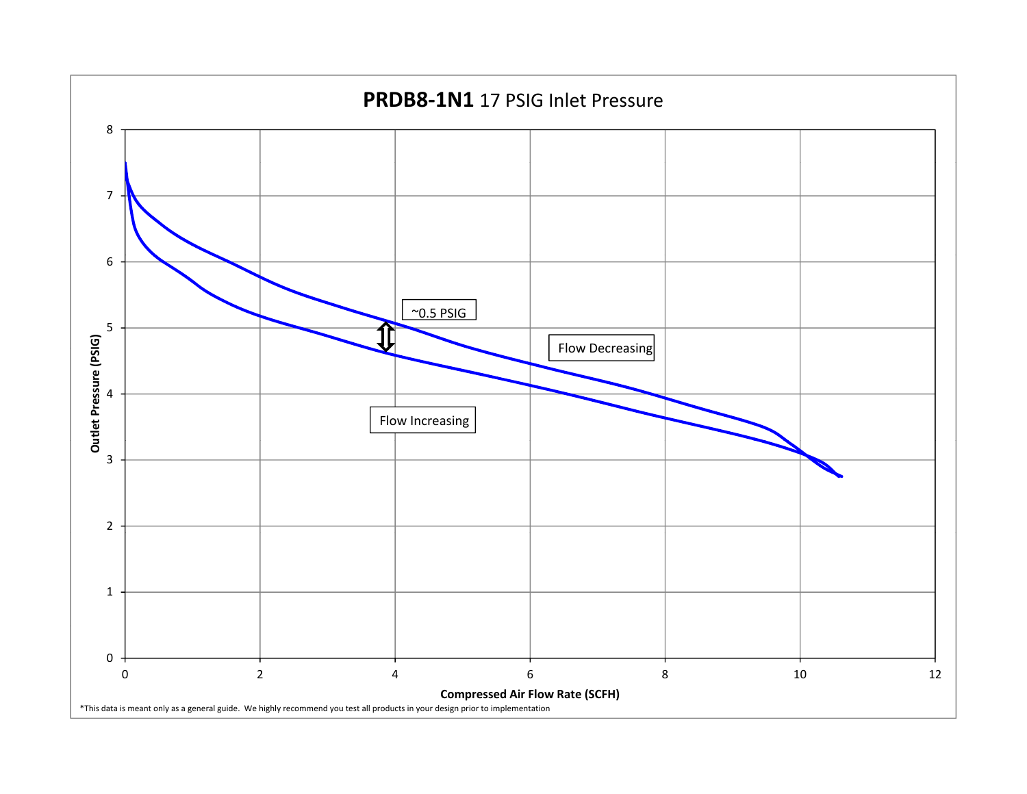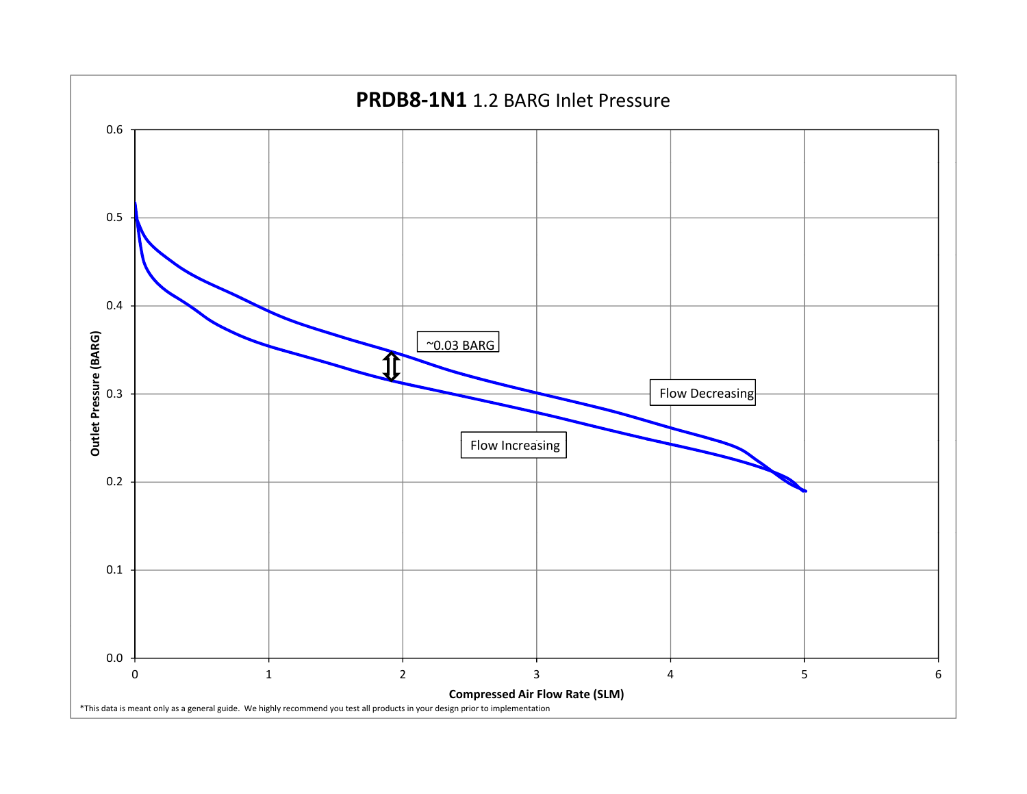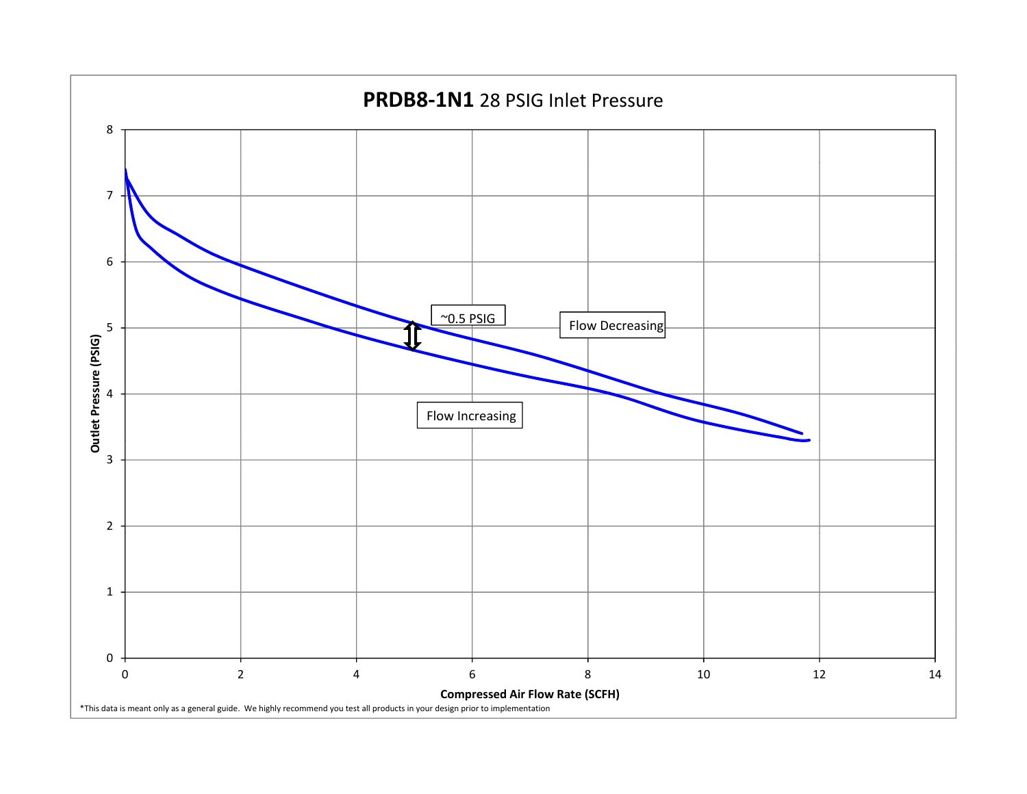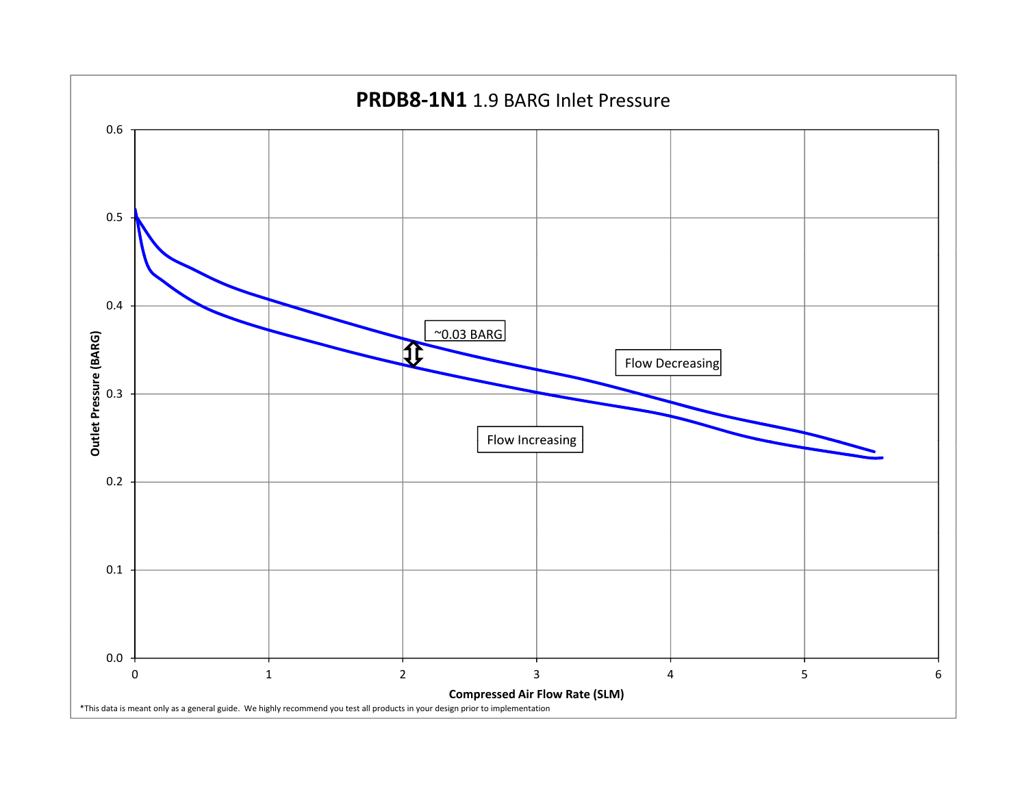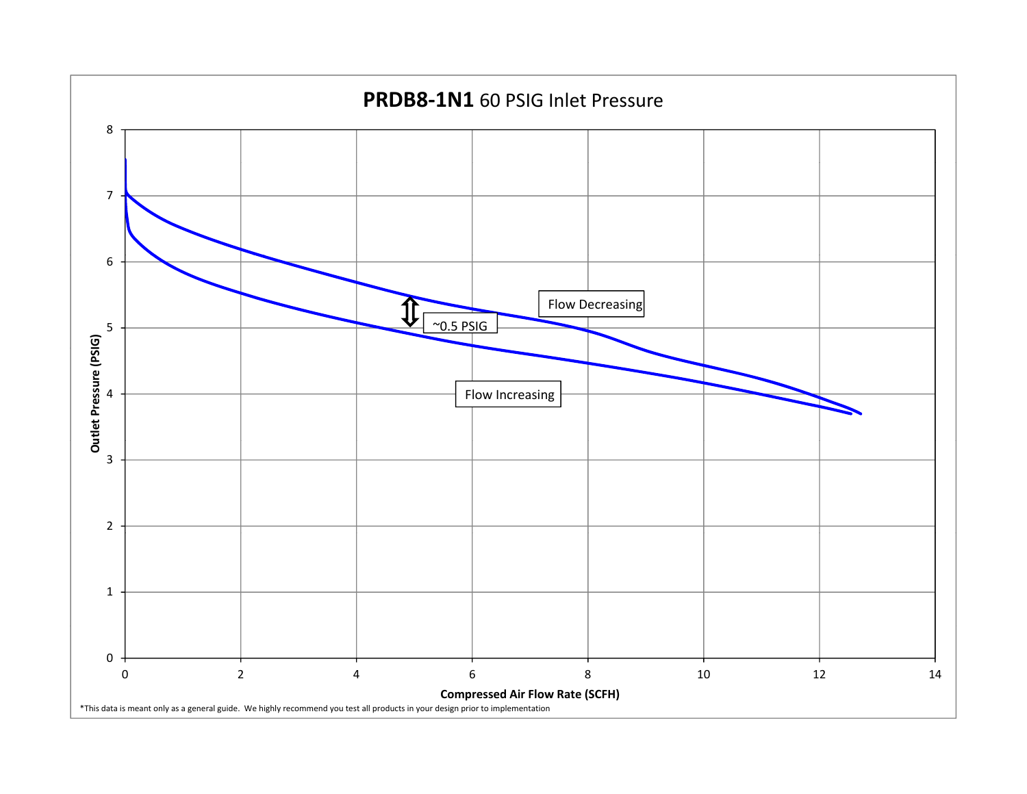